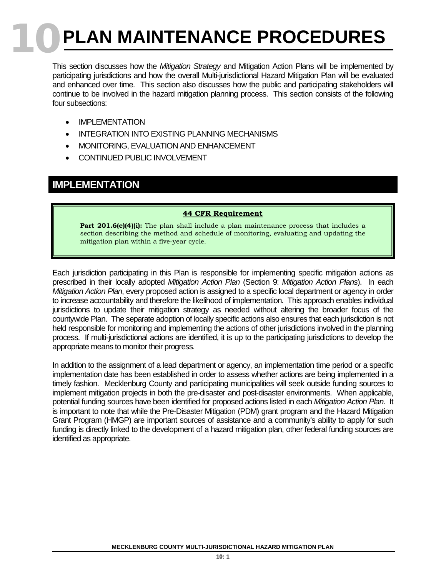# **10 PLAN MAINTENANCE PROCEDURES**

This section discusses how the *Mitigation Strategy* and Mitigation Action Plans will be implemented by participating jurisdictions and how the overall Multi-jurisdictional Hazard Mitigation Plan will be evaluated and enhanced over time. This section also discusses how the public and participating stakeholders will continue to be involved in the hazard mitigation planning process. This section consists of the following four subsections:

- IMPLEMENTATION
- INTEGRATION INTO EXISTING PLANNING MECHANISMS
- MONITORING, EVALUATION AND ENHANCEMENT
- CONTINUED PUBLIC INVOLVEMENT

## **IMPLEMENTATION**

### **44 CFR Requirement**

**Part 201.6(c)(4)(i):** The plan shall include a plan maintenance process that includes a section describing the method and schedule of monitoring, evaluating and updating the mitigation plan within a five-year cycle.

Each jurisdiction participating in this Plan is responsible for implementing specific mitigation actions as prescribed in their locally adopted *Mitigation Action Plan* (Section 9: *Mitigation Action Plans*). In each *Mitigation Action Plan*, every proposed action is assigned to a specific local department or agency in order to increase accountability and therefore the likelihood of implementation. This approach enables individual jurisdictions to update their mitigation strategy as needed without altering the broader focus of the countywide Plan. The separate adoption of locally specific actions also ensures that each jurisdiction is not held responsible for monitoring and implementing the actions of other jurisdictions involved in the planning process. If multi-jurisdictional actions are identified, it is up to the participating jurisdictions to develop the appropriate means to monitor their progress.

In addition to the assignment of a lead department or agency, an implementation time period or a specific implementation date has been established in order to assess whether actions are being implemented in a timely fashion. Mecklenburg County and participating municipalities will seek outside funding sources to implement mitigation projects in both the pre-disaster and post-disaster environments. When applicable, potential funding sources have been identified for proposed actions listed in each *Mitigation Action Plan*. It is important to note that while the Pre-Disaster Mitigation (PDM) grant program and the Hazard Mitigation Grant Program (HMGP) are important sources of assistance and a community's ability to apply for such funding is directly linked to the development of a hazard mitigation plan, other federal funding sources are identified as appropriate.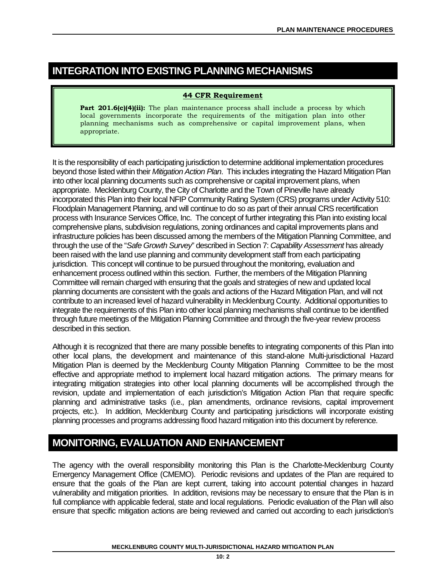# **INTEGRATION INTO EXISTING PLANNING MECHANISMS**

#### **44 CFR Requirement**

**Part 201.6(c)(4)(ii):** The plan maintenance process shall include a process by which local governments incorporate the requirements of the mitigation plan into other planning mechanisms such as comprehensive or capital improvement plans, when appropriate.

It is the responsibility of each participating jurisdiction to determine additional implementation procedures beyond those listed within their *Mitigation Action Plan*. This includes integrating the Hazard Mitigation Plan into other local planning documents such as comprehensive or capital improvement plans, when appropriate. Mecklenburg County, the City of Charlotte and the Town of Pineville have already incorporated this Plan into their local NFIP Community Rating System (CRS) programs under Activity 510: Floodplain Management Planning, and will continue to do so as part of their annual CRS recertification process with Insurance Services Office, Inc. The concept of further integrating this Plan into existing local comprehensive plans, subdivision regulations, zoning ordinances and capital improvements plans and infrastructure policies has been discussed among the members of the Mitigation Planning Committee, and through the use of the "*Safe Growth Survey*" described in Section 7: *Capability Assessment* has already been raised with the land use planning and community development staff from each participating jurisdiction. This concept will continue to be pursued throughout the monitoring, evaluation and enhancement process outlined within this section. Further, the members of the Mitigation Planning Committee will remain charged with ensuring that the goals and strategies of new and updated local planning documents are consistent with the goals and actions of the Hazard Mitigation Plan, and will not contribute to an increased level of hazard vulnerability in Mecklenburg County. Additional opportunities to integrate the requirements of this Plan into other local planning mechanisms shall continue to be identified through future meetings of the Mitigation Planning Committee and through the five-year review process described in this section.

Although it is recognized that there are many possible benefits to integrating components of this Plan into other local plans, the development and maintenance of this stand-alone Multi-jurisdictional Hazard Mitigation Plan is deemed by the Mecklenburg County Mitigation Planning Committee to be the most effective and appropriate method to implement local hazard mitigation actions. The primary means for integrating mitigation strategies into other local planning documents will be accomplished through the revision, update and implementation of each jurisdiction's Mitigation Action Plan that require specific planning and administrative tasks (i.e., plan amendments, ordinance revisions, capital improvement projects, etc.). In addition, Mecklenburg County and participating jurisdictions will incorporate existing planning processes and programs addressing flood hazard mitigation into this document by reference.

## **MONITORING, EVALUATION AND ENHANCEMENT**

The agency with the overall responsibility monitoring this Plan is the Charlotte-Mecklenburg County Emergency Management Office (CMEMO). Periodic revisions and updates of the Plan are required to ensure that the goals of the Plan are kept current, taking into account potential changes in hazard vulnerability and mitigation priorities. In addition, revisions may be necessary to ensure that the Plan is in full compliance with applicable federal, state and local regulations. Periodic evaluation of the Plan will also ensure that specific mitigation actions are being reviewed and carried out according to each jurisdiction's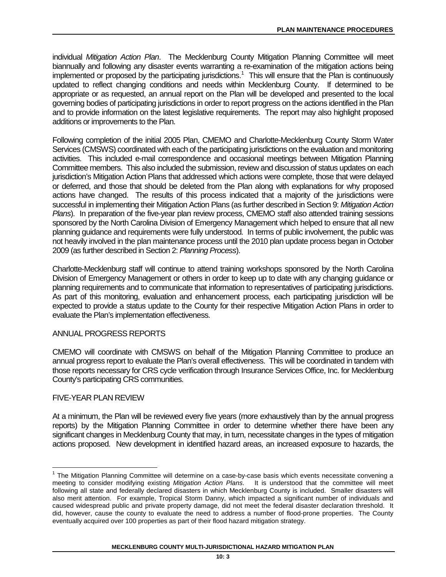individual *Mitigation Action Plan*. The Mecklenburg County Mitigation Planning Committee will meet biannually and following any disaster events warranting a re-examination of the mitigation actions being implemented or proposed by the participating jurisdictions.<sup>1</sup> This will ensure that the Plan is continuously updated to reflect changing conditions and needs within Mecklenburg County. If determined to be appropriate or as requested, an annual report on the Plan will be developed and presented to the local governing bodies of participating jurisdictions in order to report progress on the actions identified in the Plan and to provide information on the latest legislative requirements. The report may also highlight proposed additions or improvements to the Plan.

Following completion of the initial 2005 Plan, CMEMO and Charlotte-Mecklenburg County Storm Water Services (CMSWS) coordinated with each of the participating jurisdictions on the evaluation and monitoring activities. This included e-mail correspondence and occasional meetings between Mitigation Planning Committee members. This also included the submission, review and discussion of status updates on each jurisdiction's Mitigation Action Plans that addressed which actions were complete, those that were delayed or deferred, and those that should be deleted from the Plan along with explanations for why proposed actions have changed. The results of this process indicated that a majority of the jurisdictions were successful in implementing their Mitigation Action Plans (as further described in Section 9: *Mitigation Action Plans*). In preparation of the five-year plan review process, CMEMO staff also attended training sessions sponsored by the North Carolina Division of Emergency Management which helped to ensure that all new planning guidance and requirements were fully understood. In terms of public involvement, the public was not heavily involved in the plan maintenance process until the 2010 plan update process began in October 2009 (as further described in Section 2: *Planning Process*).

Charlotte-Mecklenburg staff will continue to attend training workshops sponsored by the North Carolina Division of Emergency Management or others in order to keep up to date with any changing guidance or planning requirements and to communicate that information to representatives of participating jurisdictions. As part of this monitoring, evaluation and enhancement process, each participating jurisdiction will be expected to provide a status update to the County for their respective Mitigation Action Plans in order to evaluate the Plan's implementation effectiveness.

## ANNUAL PROGRESS REPORTS

CMEMO will coordinate with CMSWS on behalf of the Mitigation Planning Committee to produce an annual progress report to evaluate the Plan's overall effectiveness. This will be coordinated in tandem with those reports necessary for CRS cycle verification through Insurance Services Office, Inc. for Mecklenburg County's participating CRS communities.

### FIVE-YEAR PLAN REVIEW

At a minimum, the Plan will be reviewed every five years (more exhaustively than by the annual progress reports) by the Mitigation Planning Committee in order to determine whether there have been any significant changes in Mecklenburg County that may, in turn, necessitate changes in the types of mitigation actions proposed. New development in identified hazard areas, an increased exposure to hazards, the

<span id="page-2-0"></span><sup>1</sup> The Mitigation Planning Committee will determine on a case-by-case basis which events necessitate convening a meeting to consider modifying existing *Mitigation Action Plans*. It is understood that the committee will meet following all state and federally declared disasters in which Mecklenburg County is included. Smaller disasters will also merit attention. For example, Tropical Storm Danny, which impacted a significant number of individuals and caused widespread public and private property damage, did not meet the federal disaster declaration threshold. It did, however, cause the county to evaluate the need to address a number of flood-prone properties. The County eventually acquired over 100 properties as part of their flood hazard mitigation strategy.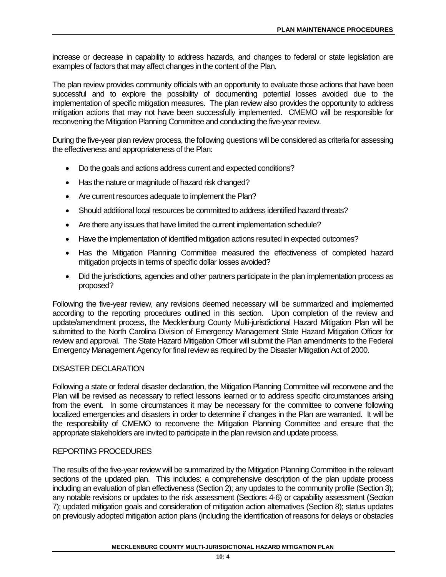increase or decrease in capability to address hazards, and changes to federal or state legislation are examples of factors that may affect changes in the content of the Plan.

The plan review provides community officials with an opportunity to evaluate those actions that have been successful and to explore the possibility of documenting potential losses avoided due to the implementation of specific mitigation measures. The plan review also provides the opportunity to address mitigation actions that may not have been successfully implemented. CMEMO will be responsible for reconvening the Mitigation Planning Committee and conducting the five-year review.

During the five-year plan review process, the following questions will be considered as criteria for assessing the effectiveness and appropriateness of the Plan:

- Do the goals and actions address current and expected conditions?
- Has the nature or magnitude of hazard risk changed?
- Are current resources adequate to implement the Plan?
- Should additional local resources be committed to address identified hazard threats?
- Are there any issues that have limited the current implementation schedule?
- Have the implementation of identified mitigation actions resulted in expected outcomes?
- Has the Mitigation Planning Committee measured the effectiveness of completed hazard mitigation projects in terms of specific dollar losses avoided?
- Did the jurisdictions, agencies and other partners participate in the plan implementation process as proposed?

Following the five-year review, any revisions deemed necessary will be summarized and implemented according to the reporting procedures outlined in this section. Upon completion of the review and update/amendment process, the Mecklenburg County Multi-jurisdictional Hazard Mitigation Plan will be submitted to the North Carolina Division of Emergency Management State Hazard Mitigation Officer for review and approval. The State Hazard Mitigation Officer will submit the Plan amendments to the Federal Emergency Management Agency for final review as required by the Disaster Mitigation Act of 2000.

### DISASTER DECLARATION

Following a state or federal disaster declaration, the Mitigation Planning Committee will reconvene and the Plan will be revised as necessary to reflect lessons learned or to address specific circumstances arising from the event. In some circumstances it may be necessary for the committee to convene following localized emergencies and disasters in order to determine if changes in the Plan are warranted. It will be the responsibility of CMEMO to reconvene the Mitigation Planning Committee and ensure that the appropriate stakeholders are invited to participate in the plan revision and update process.

### REPORTING PROCEDURES

The results of the five-year review will be summarized by the Mitigation Planning Committee in the relevant sections of the updated plan. This includes: a comprehensive description of the plan update process including an evaluation of plan effectiveness (Section 2); any updates to the community profile (Section 3); any notable revisions or updates to the risk assessment (Sections 4-6) or capability assessment (Section 7); updated mitigation goals and consideration of mitigation action alternatives (Section 8); status updates on previously adopted mitigation action plans (including the identification of reasons for delays or obstacles

#### **MECKLENBURG COUNTY MULTI-JURISDICTIONAL HAZARD MITIGATION PLAN**